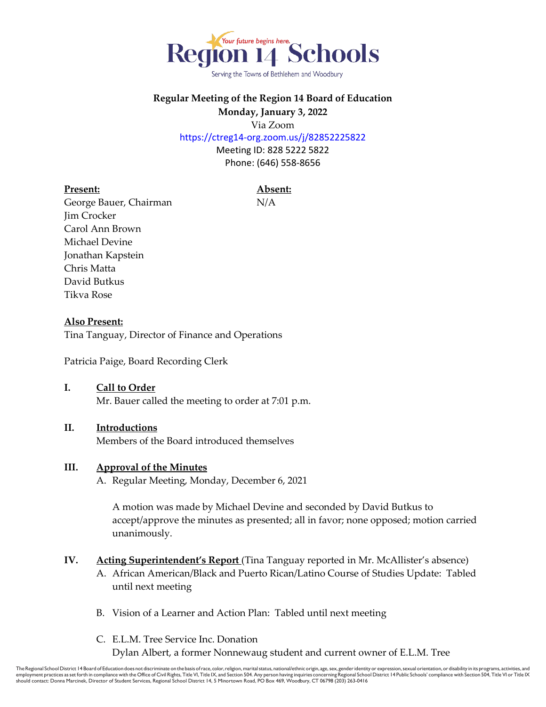

Serving the Towns of Bethlehem and Woodbury

# **Regular Meeting of the Region 14 Board of Education Monday, January 3, 2022**

Via Zoom

https://ctreg14-org.zoom.us/j/82852225822

Meeting ID: 828 5222 5822 Phone: (646) 558-8656

# **Present: Absent:**

George Bauer, Chairman N/A Jim Crocker Carol Ann Brown Michael Devine Jonathan Kapstein Chris Matta David Butkus Tikva Rose

# **Also Present:**

Tina Tanguay, Director of Finance and Operations

Patricia Paige, Board Recording Clerk

# **I. Call to Order**

Mr. Bauer called the meeting to order at 7:01 p.m.

# **II. Introductions**

Members of the Board introduced themselves

# **III. Approval of the Minutes**

A. Regular Meeting, Monday, December 6, 2021

A motion was made by Michael Devine and seconded by David Butkus to accept/approve the minutes as presented; all in favor; none opposed; motion carried unanimously.

# **IV. Acting Superintendent's Report** (Tina Tanguay reported in Mr. McAllister's absence)

- A. African American/Black and Puerto Rican/Latino Course of Studies Update: Tabled until next meeting
- B. Vision of a Learner and Action Plan: Tabled until next meeting
- C. E.L.M. Tree Service Inc. Donation Dylan Albert, a former Nonnewaug student and current owner of E.L.M. Tree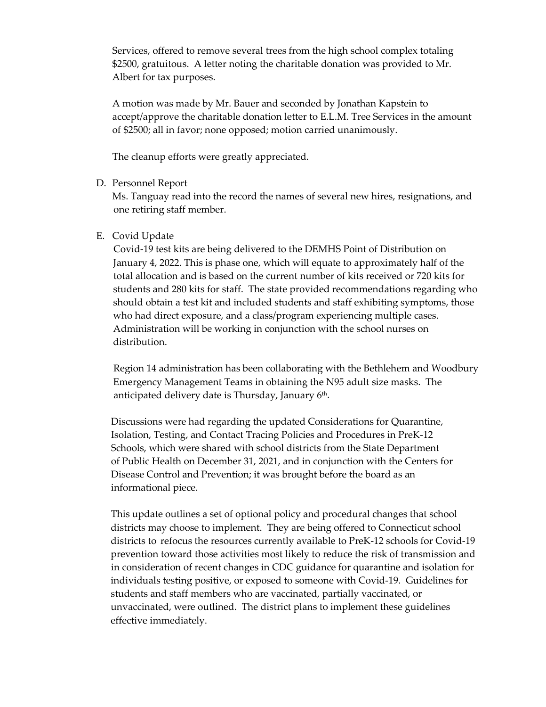Services, offered to remove several trees from the high school complex totaling \$2500, gratuitous. A letter noting the charitable donation was provided to Mr. Albert for tax purposes.

A motion was made by Mr. Bauer and seconded by Jonathan Kapstein to accept/approve the charitable donation letter to E.L.M. Tree Services in the amount of \$2500; all in favor; none opposed; motion carried unanimously.

The cleanup efforts were greatly appreciated.

#### D. Personnel Report

Ms. Tanguay read into the record the names of several new hires, resignations, and one retiring staff member.

#### E. Covid Update

 Covid-19 test kits are being delivered to the DEMHS Point of Distribution on January 4, 2022. This is phase one, which will equate to approximately half of the total allocation and is based on the current number of kits received or 720 kits for students and 280 kits for staff. The state provided recommendations regarding who should obtain a test kit and included students and staff exhibiting symptoms, those who had direct exposure, and a class/program experiencing multiple cases. Administration will be working in conjunction with the school nurses on distribution.

 Region 14 administration has been collaborating with the Bethlehem and Woodbury Emergency Management Teams in obtaining the N95 adult size masks. The anticipated delivery date is Thursday, January 6<sup>th</sup>.

 Discussions were had regarding the updated Considerations for Quarantine, Isolation, Testing, and Contact Tracing Policies and Procedures in PreK-12 Schools, which were shared with school districts from the State Department of Public Health on December 31, 2021, and in conjunction with the Centers for Disease Control and Prevention; it was brought before the board as an informational piece.

 This update outlines a set of optional policy and procedural changes that school districts may choose to implement. They are being offered to Connecticut school districts to refocus the resources currently available to PreK-12 schools for Covid-19 prevention toward those activities most likely to reduce the risk of transmission and in consideration of recent changes in CDC guidance for quarantine and isolation for individuals testing positive, or exposed to someone with Covid-19. Guidelines for students and staff members who are vaccinated, partially vaccinated, or unvaccinated, were outlined. The district plans to implement these guidelines effective immediately.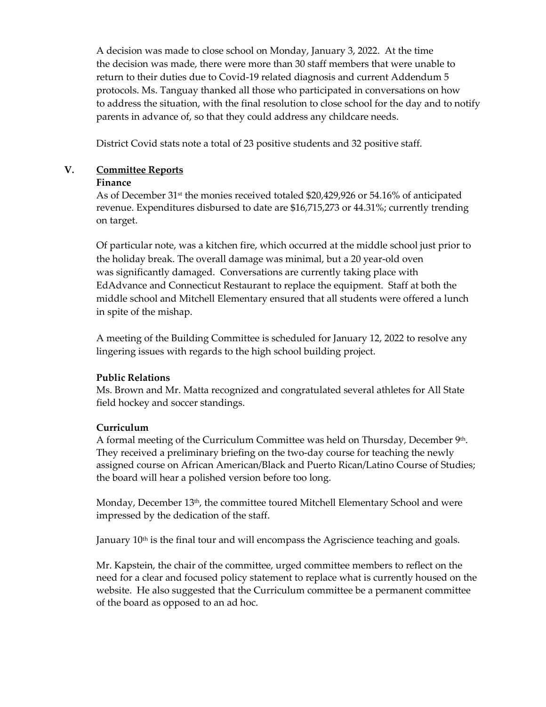A decision was made to close school on Monday, January 3, 2022. At the time the decision was made, there were more than 30 staff members that were unable to return to their duties due to Covid-19 related diagnosis and current Addendum 5 protocols. Ms. Tanguay thanked all those who participated in conversations on how to address the situation, with the final resolution to close school for the day and to notify parents in advance of, so that they could address any childcare needs.

District Covid stats note a total of 23 positive students and 32 positive staff.

#### **V. Committee Reports**

#### **Finance**

As of December 31st the monies received totaled \$20,429,926 or 54.16% of anticipated revenue. Expenditures disbursed to date are \$16,715,273 or 44.31%; currently trending on target.

Of particular note, was a kitchen fire, which occurred at the middle school just prior to the holiday break. The overall damage was minimal, but a 20 year-old oven was significantly damaged. Conversations are currently taking place with EdAdvance and Connecticut Restaurant to replace the equipment. Staff at both the middle school and Mitchell Elementary ensured that all students were offered a lunch in spite of the mishap.

A meeting of the Building Committee is scheduled for January 12, 2022 to resolve any lingering issues with regards to the high school building project.

# **Public Relations**

Ms. Brown and Mr. Matta recognized and congratulated several athletes for All State field hockey and soccer standings.

# **Curriculum**

A formal meeting of the Curriculum Committee was held on Thursday, December 9th. They received a preliminary briefing on the two-day course for teaching the newly assigned course on African American/Black and Puerto Rican/Latino Course of Studies; the board will hear a polished version before too long.

Monday, December 13<sup>th</sup>, the committee toured Mitchell Elementary School and were impressed by the dedication of the staff.

January 10<sup>th</sup> is the final tour and will encompass the Agriscience teaching and goals.

Mr. Kapstein, the chair of the committee, urged committee members to reflect on the need for a clear and focused policy statement to replace what is currently housed on the website. He also suggested that the Curriculum committee be a permanent committee of the board as opposed to an ad hoc.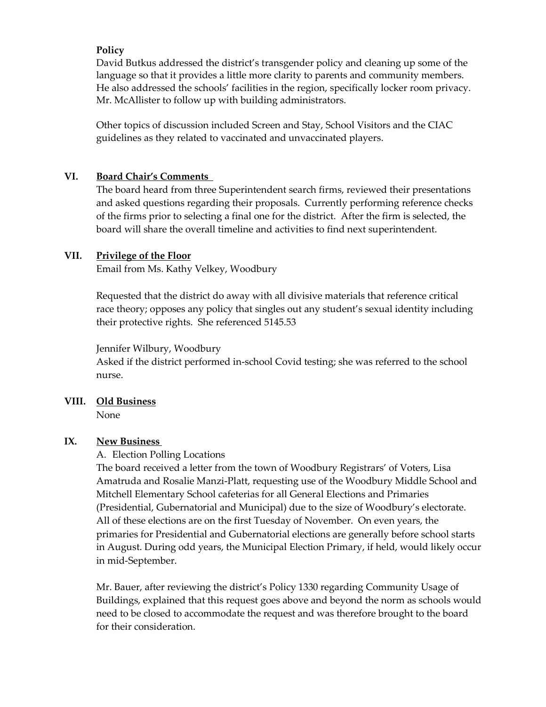#### **Policy**

David Butkus addressed the district's transgender policy and cleaning up some of the language so that it provides a little more clarity to parents and community members. He also addressed the schools' facilities in the region, specifically locker room privacy. Mr. McAllister to follow up with building administrators.

Other topics of discussion included Screen and Stay, School Visitors and the CIAC guidelines as they related to vaccinated and unvaccinated players.

#### **VI. Board Chair's Comments**

The board heard from three Superintendent search firms, reviewed their presentations and asked questions regarding their proposals. Currently performing reference checks of the firms prior to selecting a final one for the district. After the firm is selected, the board will share the overall timeline and activities to find next superintendent.

#### **VII. Privilege of the Floor**

Email from Ms. Kathy Velkey, Woodbury

Requested that the district do away with all divisive materials that reference critical race theory; opposes any policy that singles out any student's sexual identity including their protective rights. She referenced 5145.53

#### Jennifer Wilbury, Woodbury

Asked if the district performed in-school Covid testing; she was referred to the school nurse.

# **VIII. Old Business**

None

# **IX. New Business**

# A. Election Polling Locations

The board received a letter from the town of Woodbury Registrars' of Voters, Lisa Amatruda and Rosalie Manzi-Platt, requesting use of the Woodbury Middle School and Mitchell Elementary School cafeterias for all General Elections and Primaries (Presidential, Gubernatorial and Municipal) due to the size of Woodbury's electorate. All of these elections are on the first Tuesday of November. On even years, the primaries for Presidential and Gubernatorial elections are generally before school starts in August. During odd years, the Municipal Election Primary, if held, would likely occur in mid-September.

Mr. Bauer, after reviewing the district's Policy 1330 regarding Community Usage of Buildings, explained that this request goes above and beyond the norm as schools would need to be closed to accommodate the request and was therefore brought to the board for their consideration.